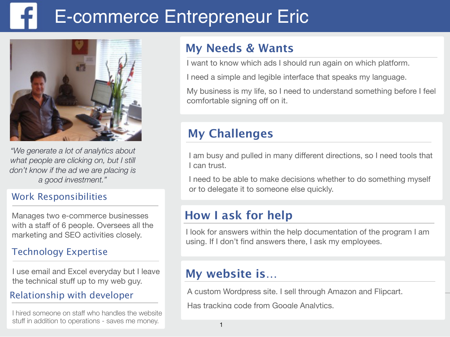# E-commerce Entrepreneur Eric



*"We generate a lot of analytics about what people are clicking on, but I still don't know if the ad we are placing is a good investment."* 

### Work Responsibilities

Manages two e-commerce businesses with a staff of 6 people. Oversees all the marketing and SEO activities closely.

### Technology Expertise

I use email and Excel everyday but I leave the technical stuff up to my web guy.

### Relationship with developer

I hired someone on staff who handles the website stuff in addition to operations - saves me money.

## **My Needs & Wants**

I want to know which ads I should run again on which platform.

I need a simple and legible interface that speaks my language.

My business is my life, so I need to understand something before I feel comfortable signing off on it.

## **My Challenges**

I am busy and pulled in many different directions, so I need tools that I can trust.

I need to be able to make decisions whether to do something myself or to delegate it to someone else quickly.

## **How I ask for help**

I look for answers within the help documentation of the program I am using. If I don't find answers there, I ask my employees.

## **My website is…**

 $\overline{\phantom{a}}$ A custom Wordpress site. I sell through Amazon and Flipcart.

Has tracking code from Google Analytics.